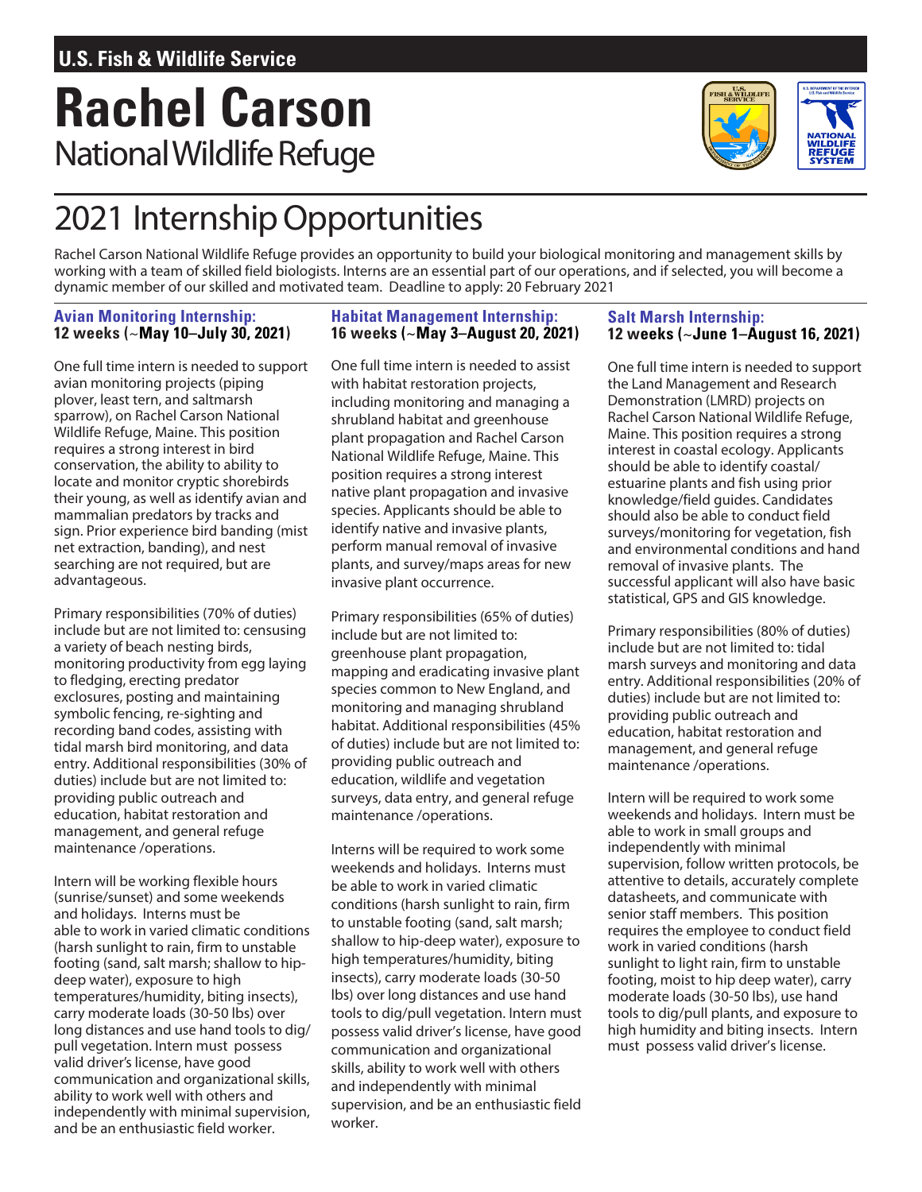# **Rachel Carson** National Wildlife Refuge



## 2021 InternshipOpportunities

Rachel Carson National Wildlife Refuge provides an opportunity to build your biological monitoring and management skills by working with a team of skilled field biologists. Interns are an essential part of our operations, and if selected, you will become a dynamic member of our skilled and motivated team. Deadline to apply: 20 February 2021

#### **Avian Monitoring Internship: 12 weeks (~May 10–July 30, 2021)**

One full time intern is needed to support avian monitoring projects (piping plover, least tern, and saltmarsh sparrow), on Rachel Carson National Wildlife Refuge, Maine. This position requires a strong interest in bird conservation, the ability to ability to locate and monitor cryptic shorebirds their young, as well as identify avian and mammalian predators by tracks and sign. Prior experience bird banding (mist net extraction, banding), and nest searching are not required, but are advantageous.

Primary responsibilities (70% of duties) include but are not limited to: censusing a variety of beach nesting birds, monitoring productivity fromegg laying to fledging, erecting predator exclosures, posting and maintaining symbolic fencing, re-sighting and recording band codes, assisting with tidal marsh bird monitoring, and data entry. Additional responsibilities (30% of duties) include but are not limited to: providing public outreach and education, habitat restoration and management, and general refuge maintenance /operations.

Intern will be working flexible hours (sunrise/sunset) and some weekends and holidays. Interns must be able to work in varied climatic conditions (harsh sunlight to rain, firm to unstable footing (sand, salt marsh; shallow to hipdeep water), exposure to high temperatures/humidity, biting insects), carry moderate loads (30-50 lbs) over long distances and use hand tools to dig/ pull vegetation. Intern must possess valid driver's license, have good communication and organizational skills, ability to work well with others and independently with minimal supervision, and be an enthusiastic field worker.

#### **Habitat Management Internship: 16 weeks (~May 3–August 20, 2021)**

One full time intern is needed to assist with habitat restoration projects, including monitoring and managing a shrubland habitat and greenhouse plant propagation and Rachel Carson National Wildlife Refuge, Maine. This position requires a strong interest native plant propagation and invasive species. Applicants should be able to identify native and invasive plants, perform manual removal of invasive plants, and survey/maps areas for new invasive plant occurrence.

Primary responsibilities (65% of duties) include but are not limited to: greenhouse plant propagation, mapping and eradicating invasive plant species common to New England, and monitoring and managing shrubland habitat. Additional responsibilities (45% of duties) include but are not limited to: providing public outreach and education, wildlife and vegetation surveys, data entry, and general refuge maintenance /operations.

Interns will be required to work some weekends and holidays. Interns must be able to work in varied climatic conditions (harsh sunlight to rain, firm to unstable footing (sand, salt marsh; shallow to hip-deep water), exposure to high temperatures/humidity, biting insects), carry moderate loads (30-50 lbs) over long distances and use hand tools to dig/pull vegetation. Intern must possess valid driver's license, have good communication and organizational skills, ability to work well with others and independently with minimal supervision, and be an enthusiastic field worker.

#### **Salt Marsh Internship: 12 weeks (~June 1–August 16, 2021)**

One full time intern is needed to support the Land Management and Research Demonstration (LMRD) projects on Rachel Carson National Wildlife Refuge, Maine. This position requires a strong interest in coastal ecology. Applicants should be able to identify coastal/ estuarine plants and fish using prior knowledge/field guides. Candidates should also be able to conduct field surveys/monitoring for vegetation, fish and environmental conditions and hand removal of invasive plants. The successful applicant will also have basic statistical, GPS and GIS knowledge.

Primary responsibilities (80% of duties) include but are not limited to: tidal marsh surveys and monitoring and data entry. Additional responsibilities (20% of duties) include but are not limited to: providing public outreach and education, habitat restoration and management, and general refuge maintenance /operations.

Intern will be required to work some weekends and holidays. Intern must be able to work in small groups and independently with minimal supervision, follow written protocols, be attentive to details, accurately complete datasheets, and communicate with senior staff members. This position requires the employee to conduct field work in varied conditions (harsh sunlight to light rain, firm to unstable footing, moist to hip deep water), carry moderate loads (30-50 lbs), use hand tools to dig/pull plants, and exposure to high humidity and biting insects. Intern must possess valid driver's license.